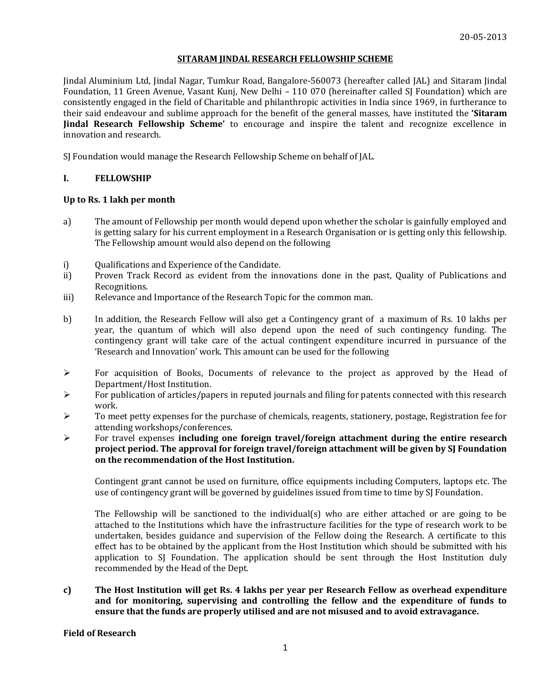## **SITARAM JINDAL RESEARCH FELLOWSHIP SCHEME**

Jindal Aluminium Ltd, Jindal Nagar, Tumkur Road, Bangalore-560073 (hereafter called JAL) and Sitaram Jindal Foundation, 11 Green Avenue, Vasant Kunj, New Delhi – 110 070 (hereinafter called SJ Foundation) which are consistently engaged in the field of Charitable and philanthropic activities in India since 1969, in furtherance to their said endeavour and sublime approach for the benefit of the general masses, have instituted the **'Sitaram Jindal Research Fellowship Scheme'** to encourage and inspire the talent and recognize excellence in innovation and research.

SJ Foundation would manage the Research Fellowship Scheme on behalf of JAL.

## **I. FELLOWSHIP**

### **Up to Rs. 1 lakh per month**

- a) The amount of Fellowship per month would depend upon whether the scholar is gainfully employed and is getting salary for his current employment in a Research Organisation or is getting only this fellowship. The Fellowship amount would also depend on the following
- i) Qualifications and Experience of the Candidate.
- ii) Proven Track Record as evident from the innovations done in the past, Quality of Publications and Recognitions.
- iii) Relevance and Importance of the Research Topic for the common man.
- b) In addition, the Research Fellow will also get a Contingency grant of a maximum of Rs. 10 lakhs per year, the quantum of which will also depend upon the need of such contingency funding. The contingency grant will take care of the actual contingent expenditure incurred in pursuance of the 'Research and Innovation' work. This amount can be used for the following
- $\triangleright$  For acquisition of Books, Documents of relevance to the project as approved by the Head of Department/Host Institution.
- $\triangleright$  For publication of articles/papers in reputed journals and filing for patents connected with this research work.
- To meet petty expenses for the purchase of chemicals, reagents, stationery, postage, Registration fee for attending workshops/conferences.
- For travel expenses **including one foreign travel/foreign attachment during the entire research project period. The approval for foreign travel/foreign attachment will be given by SJ Foundation on the recommendation of the Host Institution.**

Contingent grant cannot be used on furniture, office equipments including Computers, laptops etc. The use of contingency grant will be governed by guidelines issued from time to time by SJ Foundation.

The Fellowship will be sanctioned to the individual(s) who are either attached or are going to be attached to the Institutions which have the infrastructure facilities for the type of research work to be undertaken, besides guidance and supervision of the Fellow doing the Research. A certificate to this effect has to be obtained by the applicant from the Host Institution which should be submitted with his application to SJ Foundation. The application should be sent through the Host Institution duly recommended by the Head of the Dept.

**c) The Host Institution will get Rs. 4 lakhs per year per Research Fellow as overhead expenditure and for monitoring, supervising and controlling the fellow and the expenditure of funds to ensure that the funds are properly utilised and are not misused and to avoid extravagance.**

#### **Field of Research**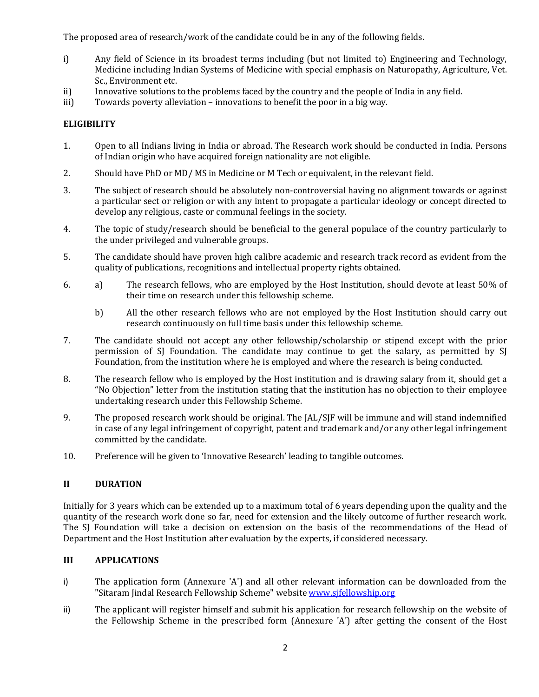The proposed area of research/work of the candidate could be in any of the following fields.

- i) Any field of Science in its broadest terms including (but not limited to) Engineering and Technology, Medicine including Indian Systems of Medicine with special emphasis on Naturopathy, Agriculture, Vet. Sc., Environment etc.
- ii) Innovative solutions to the problems faced by the country and the people of India in any field.
- iii) Towards poverty alleviation innovations to benefit the poor in a big way.

# **ELIGIBILITY**

- 1. Open to all Indians living in India or abroad. The Research work should be conducted in India. Persons of Indian origin who have acquired foreign nationality are not eligible.
- 2. Should have PhD or MD/ MS in Medicine or M Tech or equivalent, in the relevant field.
- 3. The subject of research should be absolutely non-controversial having no alignment towards or against a particular sect or religion or with any intent to propagate a particular ideology or concept directed to develop any religious, caste or communal feelings in the society.
- 4. The topic of study/research should be beneficial to the general populace of the country particularly to the under privileged and vulnerable groups.
- 5. The candidate should have proven high calibre academic and research track record as evident from the quality of publications, recognitions and intellectual property rights obtained.
- 6. a) The research fellows, who are employed by the Host Institution, should devote at least 50% of their time on research under this fellowship scheme.
	- b) All the other research fellows who are not employed by the Host Institution should carry out research continuously on full time basis under this fellowship scheme.
- 7. The candidate should not accept any other fellowship/scholarship or stipend except with the prior permission of SJ Foundation. The candidate may continue to get the salary, as permitted by SJ Foundation, from the institution where he is employed and where the research is being conducted.
- 8. The research fellow who is employed by the Host institution and is drawing salary from it, should get a "No Objection" letter from the institution stating that the institution has no objection to their employee undertaking research under this Fellowship Scheme.
- 9. The proposed research work should be original. The JAL/SJF will be immune and will stand indemnified in case of any legal infringement of copyright, patent and trademark and/or any other legal infringement committed by the candidate.
- 10. Preference will be given to 'Innovative Research' leading to tangible outcomes.

## **II DURATION**

Initially for 3 years which can be extended up to a maximum total of 6 years depending upon the quality and the quantity of the research work done so far, need for extension and the likely outcome of further research work. The SJ Foundation will take a decision on extension on the basis of the recommendations of the Head of Department and the Host Institution after evaluation by the experts, if considered necessary.

## **III APPLICATIONS**

- i) The application form (Annexure 'A') and all other relevant information can be downloaded from the "Sitaram Jindal Research Fellowship Scheme" website [www.sjfellowship.org](http://www.sjfellowship.org/)
- ii) The applicant will register himself and submit his application for research fellowship on the website of the Fellowship Scheme in the prescribed form (Annexure 'A') after getting the consent of the Host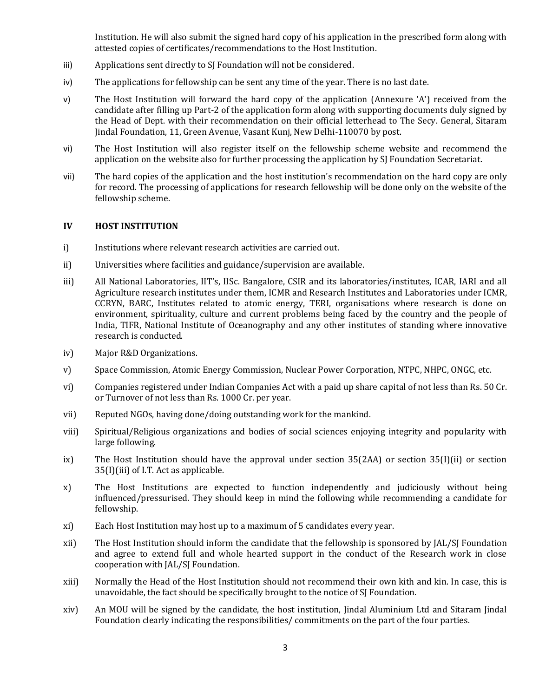Institution. He will also submit the signed hard copy of his application in the prescribed form along with attested copies of certificates/recommendations to the Host Institution.

- iii) Applications sent directly to SJ Foundation will not be considered.
- iv) The applications for fellowship can be sent any time of the year. There is no last date.
- v) The Host Institution will forward the hard copy of the application (Annexure 'A') received from the candidate after filling up Part-2 of the application form along with supporting documents duly signed by the Head of Dept. with their recommendation on their official letterhead to The Secy. General, Sitaram Jindal Foundation, 11, Green Avenue, Vasant Kunj, New Delhi-110070 by post.
- vi) The Host Institution will also register itself on the fellowship scheme website and recommend the application on the website also for further processing the application by SJ Foundation Secretariat.
- vii) The hard copies of the application and the host institution's recommendation on the hard copy are only for record. The processing of applications for research fellowship will be done only on the website of the fellowship scheme.

#### **IV HOST INSTITUTION**

- i) Institutions where relevant research activities are carried out.
- ii) Universities where facilities and guidance/supervision are available.
- iii) All National Laboratories, IIT's, IISc. Bangalore, CSIR and its laboratories/institutes, ICAR, IARI and all Agriculture research institutes under them, ICMR and Research Institutes and Laboratories under ICMR, CCRYN, BARC, Institutes related to atomic energy, TERI, organisations where research is done on environment, spirituality, culture and current problems being faced by the country and the people of India, TIFR, National Institute of Oceanography and any other institutes of standing where innovative research is conducted.
- iv) Major R&D Organizations.
- v) Space Commission, Atomic Energy Commission, Nuclear Power Corporation, NTPC, NHPC, ONGC, etc.
- vi) Companies registered under Indian Companies Act with a paid up share capital of not less than Rs. 50 Cr. or Turnover of not less than Rs. 1000 Cr. per year.
- vii) Reputed NGOs, having done/doing outstanding work for the mankind.
- viii) Spiritual/Religious organizations and bodies of social sciences enjoying integrity and popularity with large following.
- ix) The Host Institution should have the approval under section 35(2AA) or section 35(I)(ii) or section 35(I)(iii) of I.T. Act as applicable.
- x) The Host Institutions are expected to function independently and judiciously without being influenced/pressurised. They should keep in mind the following while recommending a candidate for fellowship.
- xi) Each Host Institution may host up to a maximum of 5 candidates every year.
- xii) The Host Institution should inform the candidate that the fellowship is sponsored by JAL/SJ Foundation and agree to extend full and whole hearted support in the conduct of the Research work in close cooperation with JAL/SJ Foundation.
- xiii) Normally the Head of the Host Institution should not recommend their own kith and kin. In case, this is unavoidable, the fact should be specifically brought to the notice of SJ Foundation.
- xiv) An MOU will be signed by the candidate, the host institution, Jindal Aluminium Ltd and Sitaram Jindal Foundation clearly indicating the responsibilities/ commitments on the part of the four parties.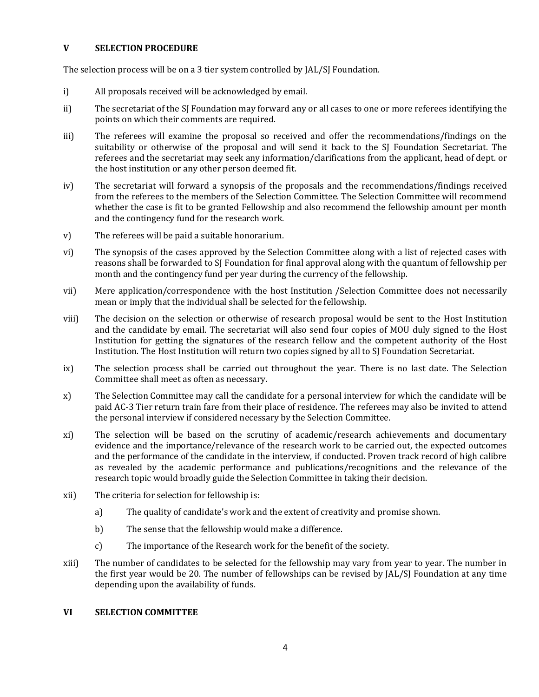## **V SELECTION PROCEDURE**

The selection process will be on a 3 tier system controlled by JAL/SJ Foundation.

- i) All proposals received will be acknowledged by email.
- ii) The secretariat of the SJ Foundation may forward any or all cases to one or more referees identifying the points on which their comments are required.
- iii) The referees will examine the proposal so received and offer the recommendations/findings on the suitability or otherwise of the proposal and will send it back to the SJ Foundation Secretariat. The referees and the secretariat may seek any information/clarifications from the applicant, head of dept. or the host institution or any other person deemed fit.
- iv) The secretariat will forward a synopsis of the proposals and the recommendations/findings received from the referees to the members of the Selection Committee. The Selection Committee will recommend whether the case is fit to be granted Fellowship and also recommend the fellowship amount per month and the contingency fund for the research work.
- v) The referees will be paid a suitable honorarium.
- vi) The synopsis of the cases approved by the Selection Committee along with a list of rejected cases with reasons shall be forwarded to SJ Foundation for final approval along with the quantum of fellowship per month and the contingency fund per year during the currency of the fellowship.
- vii) Mere application/correspondence with the host Institution /Selection Committee does not necessarily mean or imply that the individual shall be selected for the fellowship.
- viii) The decision on the selection or otherwise of research proposal would be sent to the Host Institution and the candidate by email. The secretariat will also send four copies of MOU duly signed to the Host Institution for getting the signatures of the research fellow and the competent authority of the Host Institution. The Host Institution will return two copies signed by all to SJ Foundation Secretariat.
- ix) The selection process shall be carried out throughout the year. There is no last date. The Selection Committee shall meet as often as necessary.
- x) The Selection Committee may call the candidate for a personal interview for which the candidate will be paid AC-3 Tier return train fare from their place of residence. The referees may also be invited to attend the personal interview if considered necessary by the Selection Committee.
- xi) The selection will be based on the scrutiny of academic/research achievements and documentary evidence and the importance/relevance of the research work to be carried out, the expected outcomes and the performance of the candidate in the interview, if conducted. Proven track record of high calibre as revealed by the academic performance and publications/recognitions and the relevance of the research topic would broadly guide the Selection Committee in taking their decision.
- xii) The criteria for selection for fellowship is:
	- a) The quality of candidate's work and the extent of creativity and promise shown.
	- b) The sense that the fellowship would make a difference.
	- c) The importance of the Research work for the benefit of the society.
- xiii) The number of candidates to be selected for the fellowship may vary from year to year. The number in the first year would be 20. The number of fellowships can be revised by JAL/SJ Foundation at any time depending upon the availability of funds.

### **VI SELECTION COMMITTEE**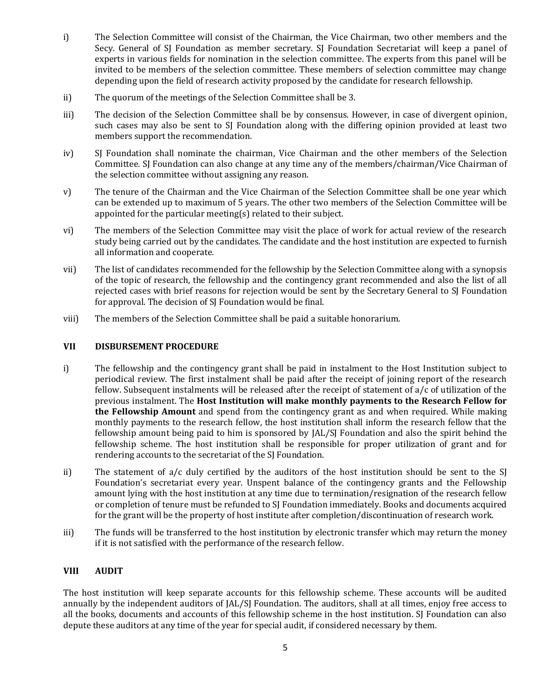- i) The Selection Committee will consist of the Chairman, the Vice Chairman, two other members and the Secy. General of SJ Foundation as member secretary. SJ Foundation Secretariat will keep a panel of experts in various fields for nomination in the selection committee. The experts from this panel will be invited to be members of the selection committee. These members of selection committee may change depending upon the field of research activity proposed by the candidate for research fellowship.
- ii) The quorum of the meetings of the Selection Committee shall be 3.
- iii) The decision of the Selection Committee shall be by consensus. However, in case of divergent opinion, such cases may also be sent to SJ Foundation along with the differing opinion provided at least two members support the recommendation.
- iv) SJ Foundation shall nominate the chairman, Vice Chairman and the other members of the Selection Committee. SJ Foundation can also change at any time any of the members/chairman/Vice Chairman of the selection committee without assigning any reason.
- v) The tenure of the Chairman and the Vice Chairman of the Selection Committee shall be one year which can be extended up to maximum of 5 years. The other two members of the Selection Committee will be appointed for the particular meeting(s) related to their subject.
- vi) The members of the Selection Committee may visit the place of work for actual review of the research study being carried out by the candidates. The candidate and the host institution are expected to furnish all information and cooperate.
- vii) The list of candidates recommended for the fellowship by the Selection Committee along with a synopsis of the topic of research, the fellowship and the contingency grant recommended and also the list of all rejected cases with brief reasons for rejection would be sent by the Secretary General to SJ Foundation for approval. The decision of SJ Foundation would be final.
- viii) The members of the Selection Committee shall be paid a suitable honorarium.

# **VII DISBURSEMENT PROCEDURE**

- i) The fellowship and the contingency grant shall be paid in instalment to the Host Institution subject to periodical review. The first instalment shall be paid after the receipt of joining report of the research fellow. Subsequent instalments will be released after the receipt of statement of a/c of utilization of the previous instalment. The **Host Institution will make monthly payments to the Research Fellow for the Fellowship Amount** and spend from the contingency grant as and when required. While making monthly payments to the research fellow, the host institution shall inform the research fellow that the fellowship amount being paid to him is sponsored by JAL/SJ Foundation and also the spirit behind the fellowship scheme. The host institution shall be responsible for proper utilization of grant and for rendering accounts to the secretariat of the SJ Foundation.
- ii) The statement of a/c duly certified by the auditors of the host institution should be sent to the SJ Foundation's secretariat every year. Unspent balance of the contingency grants and the Fellowship amount lying with the host institution at any time due to termination/resignation of the research fellow or completion of tenure must be refunded to SJ Foundation immediately. Books and documents acquired for the grant will be the property of host institute after completion/discontinuation of research work.
- iii) The funds will be transferred to the host institution by electronic transfer which may return the money if it is not satisfied with the performance of the research fellow.

# **VIII AUDIT**

The host institution will keep separate accounts for this fellowship scheme. These accounts will be audited annually by the independent auditors of JAL/SJ Foundation. The auditors, shall at all times, enjoy free access to all the books, documents and accounts of this fellowship scheme in the host institution. SJ Foundation can also depute these auditors at any time of the year for special audit, if considered necessary by them.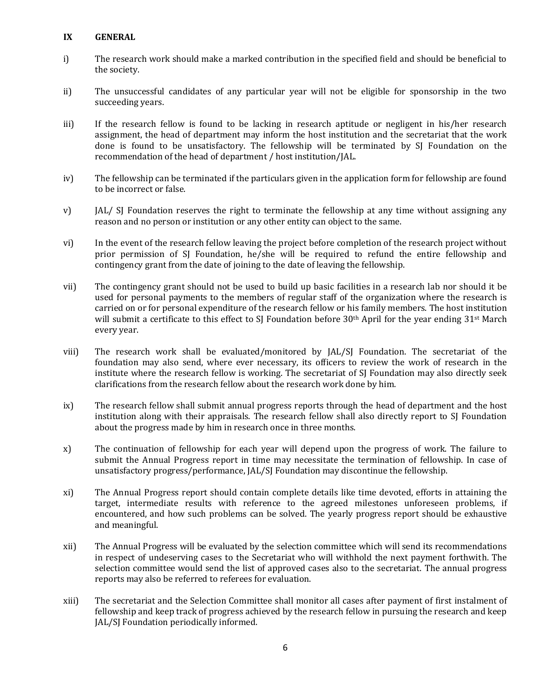## **IX GENERAL**

- i) The research work should make a marked contribution in the specified field and should be beneficial to the society.
- ii) The unsuccessful candidates of any particular year will not be eligible for sponsorship in the two succeeding years.
- iii) If the research fellow is found to be lacking in research aptitude or negligent in his/her research assignment, the head of department may inform the host institution and the secretariat that the work done is found to be unsatisfactory. The fellowship will be terminated by SJ Foundation on the recommendation of the head of department / host institution/JAL.
- iv) The fellowship can be terminated if the particulars given in the application form for fellowship are found to be incorrect or false.
- v) JAL/ SJ Foundation reserves the right to terminate the fellowship at any time without assigning any reason and no person or institution or any other entity can object to the same.
- vi) In the event of the research fellow leaving the project before completion of the research project without prior permission of SJ Foundation, he/she will be required to refund the entire fellowship and contingency grant from the date of joining to the date of leaving the fellowship.
- vii) The contingency grant should not be used to build up basic facilities in a research lab nor should it be used for personal payments to the members of regular staff of the organization where the research is carried on or for personal expenditure of the research fellow or his family members. The host institution will submit a certificate to this effect to SJ Foundation before 30<sup>th</sup> April for the year ending 31<sup>st</sup> March every year.
- viii) The research work shall be evaluated/monitored by JAL/SJ Foundation. The secretariat of the foundation may also send, where ever necessary, its officers to review the work of research in the institute where the research fellow is working. The secretariat of SJ Foundation may also directly seek clarifications from the research fellow about the research work done by him.
- ix) The research fellow shall submit annual progress reports through the head of department and the host institution along with their appraisals. The research fellow shall also directly report to SJ Foundation about the progress made by him in research once in three months.
- x) The continuation of fellowship for each year will depend upon the progress of work. The failure to submit the Annual Progress report in time may necessitate the termination of fellowship. In case of unsatisfactory progress/performance, JAL/SJ Foundation may discontinue the fellowship.
- xi) The Annual Progress report should contain complete details like time devoted, efforts in attaining the target, intermediate results with reference to the agreed milestones unforeseen problems, if encountered, and how such problems can be solved. The yearly progress report should be exhaustive and meaningful.
- xii) The Annual Progress will be evaluated by the selection committee which will send its recommendations in respect of undeserving cases to the Secretariat who will withhold the next payment forthwith. The selection committee would send the list of approved cases also to the secretariat. The annual progress reports may also be referred to referees for evaluation.
- xiii) The secretariat and the Selection Committee shall monitor all cases after payment of first instalment of fellowship and keep track of progress achieved by the research fellow in pursuing the research and keep JAL/SJ Foundation periodically informed.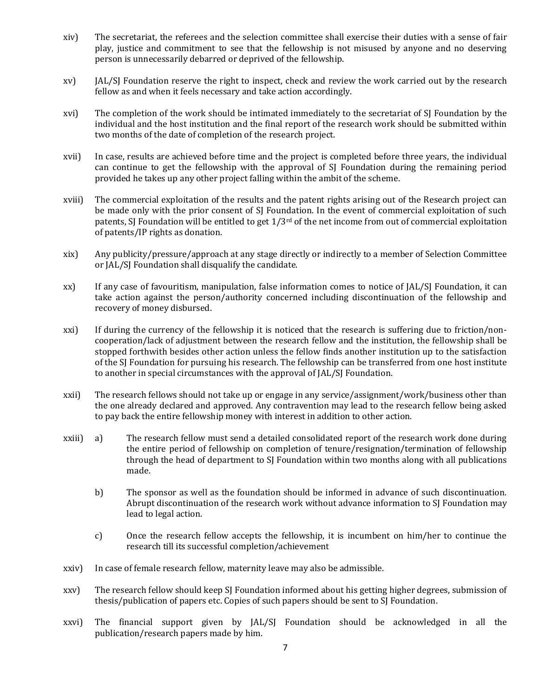- xiv) The secretariat, the referees and the selection committee shall exercise their duties with a sense of fair play, justice and commitment to see that the fellowship is not misused by anyone and no deserving person is unnecessarily debarred or deprived of the fellowship.
- xv) JAL/SJ Foundation reserve the right to inspect, check and review the work carried out by the research fellow as and when it feels necessary and take action accordingly.
- xvi) The completion of the work should be intimated immediately to the secretariat of SJ Foundation by the individual and the host institution and the final report of the research work should be submitted within two months of the date of completion of the research project.
- xvii) In case, results are achieved before time and the project is completed before three years, the individual can continue to get the fellowship with the approval of SJ Foundation during the remaining period provided he takes up any other project falling within the ambit of the scheme.
- xviii) The commercial exploitation of the results and the patent rights arising out of the Research project can be made only with the prior consent of SJ Foundation. In the event of commercial exploitation of such patents, SJ Foundation will be entitled to get  $1/3^{rd}$  of the net income from out of commercial exploitation of patents/IP rights as donation.
- xix) Any publicity/pressure/approach at any stage directly or indirectly to a member of Selection Committee or JAL/SJ Foundation shall disqualify the candidate.
- xx) If any case of favouritism, manipulation, false information comes to notice of JAL/SJ Foundation, it can take action against the person/authority concerned including discontinuation of the fellowship and recovery of money disbursed.
- xxi) If during the currency of the fellowship it is noticed that the research is suffering due to friction/noncooperation/lack of adjustment between the research fellow and the institution, the fellowship shall be stopped forthwith besides other action unless the fellow finds another institution up to the satisfaction of the SJ Foundation for pursuing his research. The fellowship can be transferred from one host institute to another in special circumstances with the approval of JAL/SJ Foundation.
- xxii) The research fellows should not take up or engage in any service/assignment/work/business other than the one already declared and approved. Any contravention may lead to the research fellow being asked to pay back the entire fellowship money with interest in addition to other action.
- xxiii) a) The research fellow must send a detailed consolidated report of the research work done during the entire period of fellowship on completion of tenure/resignation/termination of fellowship through the head of department to SJ Foundation within two months along with all publications made.
	- b) The sponsor as well as the foundation should be informed in advance of such discontinuation. Abrupt discontinuation of the research work without advance information to SJ Foundation may lead to legal action.
	- c) Once the research fellow accepts the fellowship, it is incumbent on him/her to continue the research till its successful completion/achievement
- xxiv) In case of female research fellow, maternity leave may also be admissible.
- xxv) The research fellow should keep SJ Foundation informed about his getting higher degrees, submission of thesis/publication of papers etc. Copies of such papers should be sent to SJ Foundation.
- xxvi) The financial support given by JAL/SJ Foundation should be acknowledged in all the publication/research papers made by him.